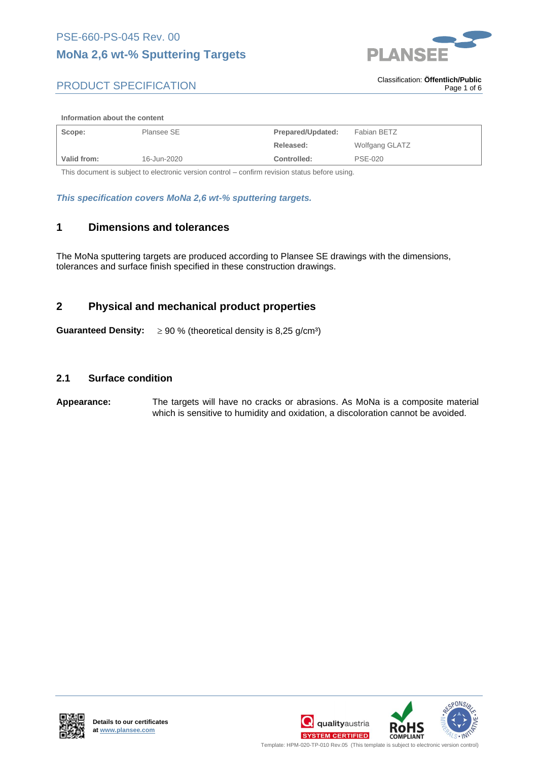## **MoNa 2,6 wt-% Sputtering Targets**



## PRODUCT SPECIFICATION

. Classification: **Öffentlich/Public** Page 1 of 6

#### **Information about the content**

| Scope:      | Plansee SE  | Prepared/Updated: | Fabian BETZ    |
|-------------|-------------|-------------------|----------------|
|             |             | Released:         | Wolfgang GLATZ |
| Valid from: | 16-Jun-2020 | Controlled:       | <b>PSE-020</b> |

This document is subject to electronic version control – confirm revision status before using.

*This specification covers MoNa 2,6 wt-% sputtering targets.*

#### **1 Dimensions and tolerances**

The MoNa sputtering targets are produced according to Plansee SE drawings with the dimensions, tolerances and surface finish specified in these construction drawings.

### **2 Physical and mechanical product properties**

**Guaranteed Density:**  $\geq 90\%$  (theoretical density is 8,25 g/cm<sup>3</sup>)

#### **2.1 Surface condition**

#### **Appearance:** The targets will have no cracks or abrasions. As MoNa is a composite material which is sensitive to humidity and oxidation, a discoloration cannot be avoided.



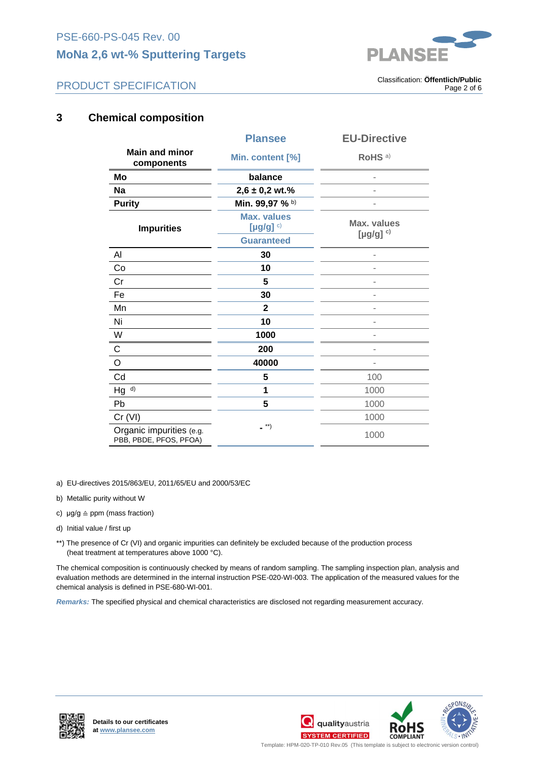## **MoNa 2,6 wt-% Sputtering Targets**



## PRODUCT SPECIFICATION

. Classification: **Öffentlich/Public** Page 2 of 6

## **3 Chemical composition**

|                                                    | <b>Plansee</b>                               | <b>EU-Directive</b>              |
|----------------------------------------------------|----------------------------------------------|----------------------------------|
| <b>Main and minor</b><br>components                | Min. content [%]                             | RoHS <sup>a)</sup>               |
| Mo                                                 | balance                                      |                                  |
| <b>Na</b>                                          | $2,6 \pm 0,2$ wt.%                           |                                  |
| <b>Purity</b>                                      | Min. 99,97 % b)                              |                                  |
| <b>Impurities</b>                                  | <b>Max. values</b><br>[ $\mu$ g/g] $\circ$ ) | Max. values<br>[ $\mu$ g/g] $c)$ |
|                                                    | <b>Guaranteed</b>                            |                                  |
| Al                                                 | 30                                           |                                  |
| Co                                                 | 10                                           |                                  |
| Cr                                                 | 5                                            |                                  |
| Fe                                                 | 30                                           |                                  |
| Mn                                                 | $\mathbf{2}$                                 |                                  |
| Ni                                                 | 10                                           |                                  |
| W                                                  | 1000                                         |                                  |
| $\mathsf{C}$                                       | 200                                          |                                  |
| $\mathsf O$                                        | 40000                                        |                                  |
| Cd                                                 | 5                                            | 100                              |
| Hg <sup>d</sup>                                    | 1                                            | 1000                             |
| Pb                                                 | 5                                            | 1000                             |
| Cr (VI)                                            |                                              | 1000                             |
| Organic impurities (e.g.<br>PBB, PBDE, PFOS, PFOA) | $\overline{\phantom{a}}^{**}$                | 1000                             |

a) EU-directives 2015/863/EU, 2011/65/EU and 2000/53/EC

- b) Metallic purity without W
- c)  $\mu$ g/g  $\triangleq$  ppm (mass fraction)
- d) Initial value / first up
- \*\*) The presence of Cr (VI) and organic impurities can definitely be excluded because of the production process (heat treatment at temperatures above 1000 °C).

The chemical composition is continuously checked by means of random sampling. The sampling inspection plan, analysis and evaluation methods are determined in the internal instruction PSE-020-WI-003. The application of the measured values for the chemical analysis is defined in PSE-680-WI-001.

*Remarks:* The specified physical and chemical characteristics are disclosed not regarding measurement accuracy.







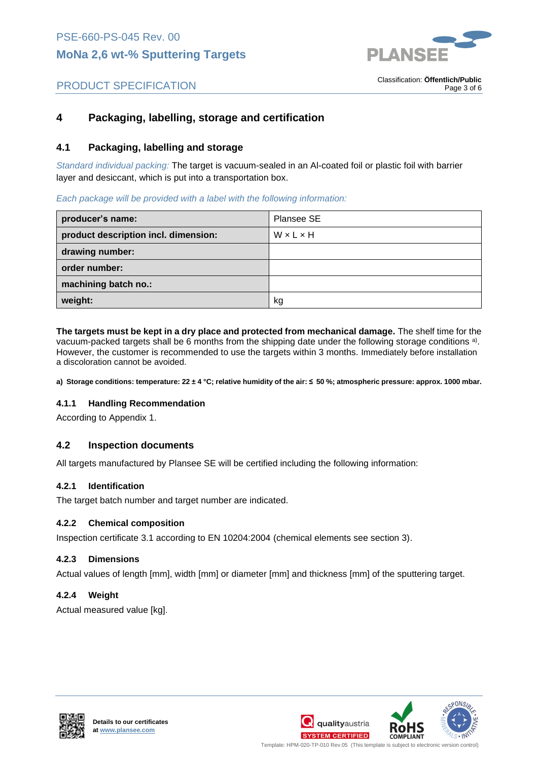

. Classification: **Öffentlich/Public**

Page 3 of 6

## PRODUCT SPECIFICATION

## **4 Packaging, labelling, storage and certification**

#### **4.1 Packaging, labelling and storage**

*Standard individual packing:* The target is vacuum-sealed in an Al-coated foil or plastic foil with barrier layer and desiccant, which is put into a transportation box.

#### *Each package will be provided with a label with the following information:*

| producer's name:                     | Plansee SE |
|--------------------------------------|------------|
| product description incl. dimension: | WxLxH      |
| drawing number:                      |            |
| order number:                        |            |
| machining batch no.:                 |            |
| weight:                              | kg         |

**The targets must be kept in a dry place and protected from mechanical damage.** The shelf time for the vacuum-packed targets shall be 6 months from the shipping date under the following storage conditions <sup>a)</sup>. However, the customer is recommended to use the targets within 3 months. Immediately before installation a discoloration cannot be avoided.

**a) Storage conditions: temperature: 22 ± 4 °C; relative humidity of the air: ≤ 50 %; atmospheric pressure: approx. 1000 mbar.**

#### **4.1.1 Handling Recommendation**

According to Appendix 1.

#### **4.2 Inspection documents**

All targets manufactured by Plansee SE will be certified including the following information:

#### **4.2.1 Identification**

The target batch number and target number are indicated.

#### **4.2.2 Chemical composition**

Inspection certificate 3.1 according to EN 10204:2004 (chemical elements see section 3).

#### **4.2.3 Dimensions**

Actual values of length [mm], width [mm] or diameter [mm] and thickness [mm] of the sputtering target.

#### **4.2.4 Weight**

Actual measured value [kg].







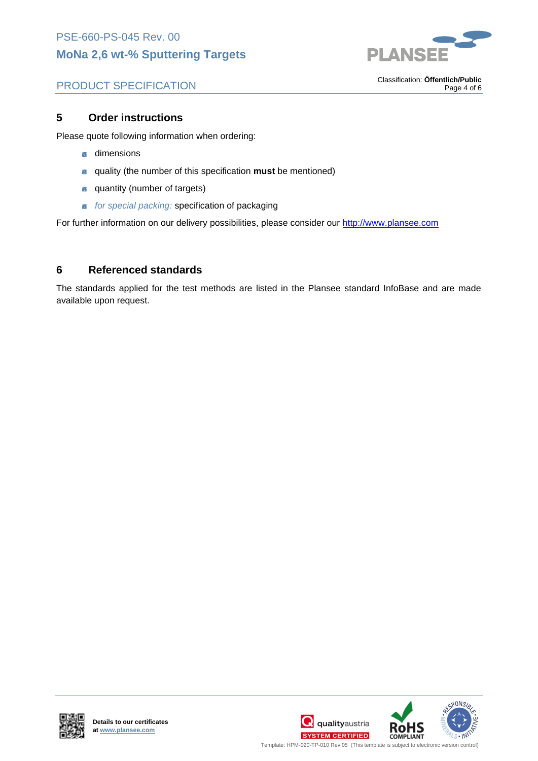

## PRODUCT SPECIFICATION

. Classification: **Öffentlich/Public** Page 4 of 6

## **5 Order instructions**

Please quote following information when ordering:

- **a** dimensions
- quality (the number of this specification **must** be mentioned)  $\mathbb{R}^2$
- **a** quantity (number of targets)
- *for special packing:* specification of packaging 圝

For further information on our delivery possibilities, please consider our http://www.plansee.com

## **6 Referenced standards**

The standards applied for the test methods are listed in the Plansee standard InfoBase and are made available upon request.



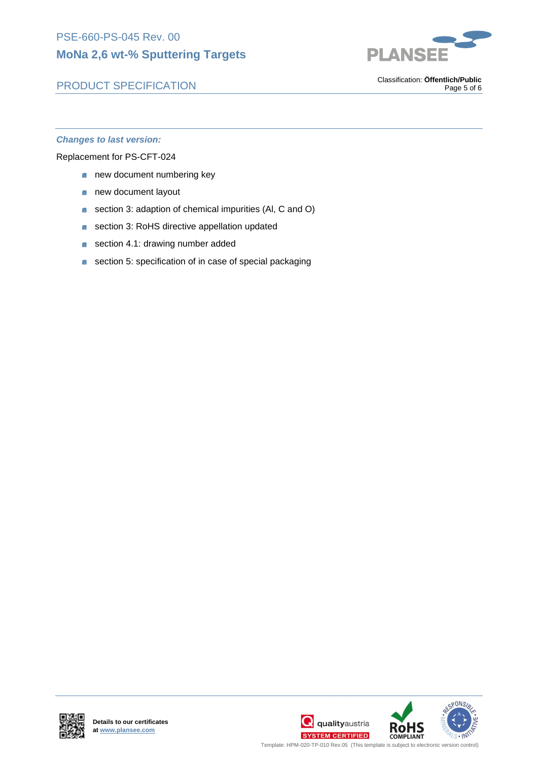# PLANSEI

## PRODUCT SPECIFICATION

. Classification: **Öffentlich/Public** Page 5 of 6

#### *Changes to last version:*

Replacement for PS-CFT-024

- **new document numbering key**
- × new document layout
- section 3: adaption of chemical impurities (Al, C and O) ×
- section 3: RoHS directive appellation updated
- section 4.1: drawing number added  $\mathbb{R}^2$
- section 5: specification of in case of special packaging